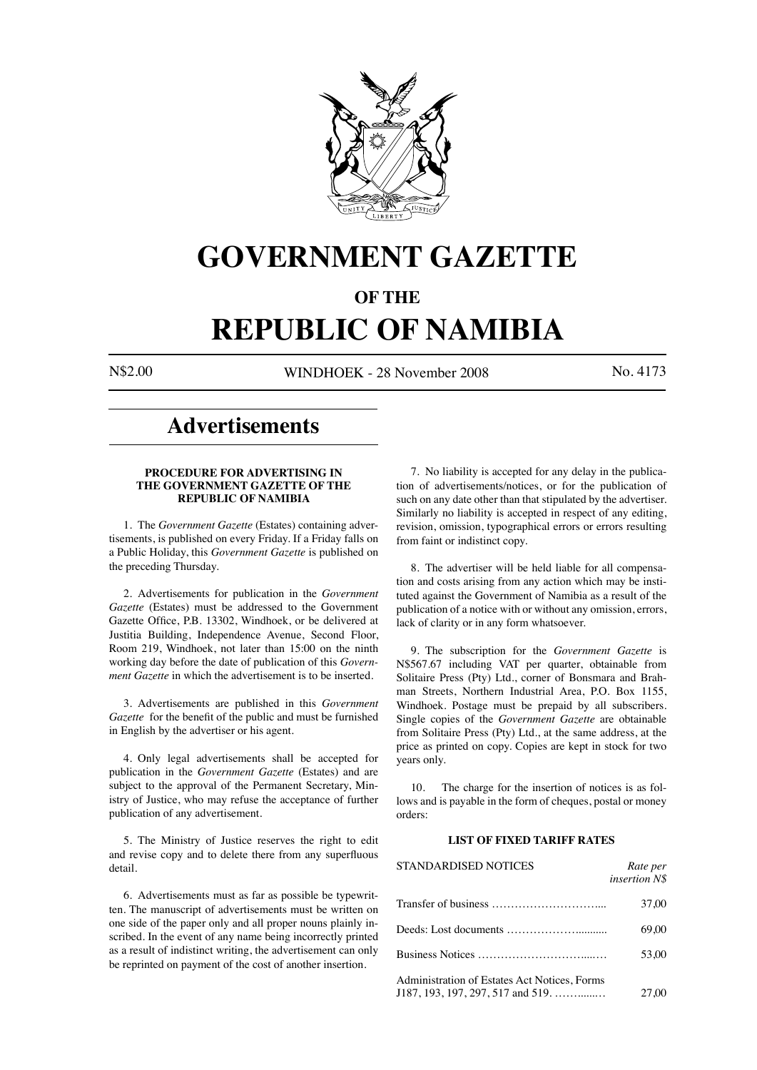

# **GOVERNMENT GAZETTE**

# **OF THE**

# **REPUBLIC OF NAMIBIA**

N\$2.00 WINDHOEK - 28 November 2008 No. 4173

# **Advertisements**

# **PROCEDURE FOR ADVERTISING IN THE GOVERNMENT GAZETTE OF THE REPUBLIC OF NAMIBIA**

1. The *Government Gazette* (Estates) containing advertisements, is published on every Friday. If a Friday falls on a Public Holiday, this *Government Gazette* is published on the preceding Thursday.

2. Advertisements for publication in the *Government Gazette* (Estates) must be addressed to the Government Gazette Office, P.B. 13302, Windhoek, or be delivered at Justitia Building, Independence Avenue, Second Floor, Room 219, Windhoek, not later than 15:00 on the ninth working day before the date of publication of this *Government Gazette* in which the advertisement is to be inserted.

3. Advertisements are published in this *Government Gazette* for the benefit of the public and must be furnished in English by the advertiser or his agent.

4. Only legal advertisements shall be accepted for publication in the *Government Gazette* (Estates) and are subject to the approval of the Permanent Secretary, Ministry of Justice, who may refuse the acceptance of further publication of any advertisement.

5. The Ministry of Justice reserves the right to edit and revise copy and to delete there from any superfluous detail.

6. Advertisements must as far as possible be typewritten. The manuscript of advertisements must be written on one side of the paper only and all proper nouns plainly inscribed. In the event of any name being incorrectly printed as a result of indistinct writing, the advertisement can only be reprinted on payment of the cost of another insertion.

7. No liability is accepted for any delay in the publication of advertisements/notices, or for the publication of such on any date other than that stipulated by the advertiser. Similarly no liability is accepted in respect of any editing, revision, omission, typographical errors or errors resulting from faint or indistinct copy.

8. The advertiser will be held liable for all compensation and costs arising from any action which may be instituted against the Government of Namibia as a result of the publication of a notice with or without any omission, errors, lack of clarity or in any form whatsoever.

9. The subscription for the *Government Gazette* is N\$567.67 including VAT per quarter, obtainable from Solitaire Press (Pty) Ltd., corner of Bonsmara and Brahman Streets, Northern Industrial Area, P.O. Box 1155, Windhoek. Postage must be prepaid by all subscribers. Single copies of the *Government Gazette* are obtainable from Solitaire Press (Pty) Ltd., at the same address, at the price as printed on copy. Copies are kept in stock for two years only.

10. The charge for the insertion of notices is as follows and is payable in the form of cheques, postal or money orders:

# **LIST OF FIXED TARIFF RATES**

| <b>STANDARDISED NOTICES</b>                                                           | Rate per<br>insertion N\$ |
|---------------------------------------------------------------------------------------|---------------------------|
|                                                                                       | 37.00                     |
|                                                                                       | 69.00                     |
|                                                                                       | 53.00                     |
| Administration of Estates Act Notices, Forms<br>$J187, 193, 197, 297, 517$ and $519,$ | 27.00                     |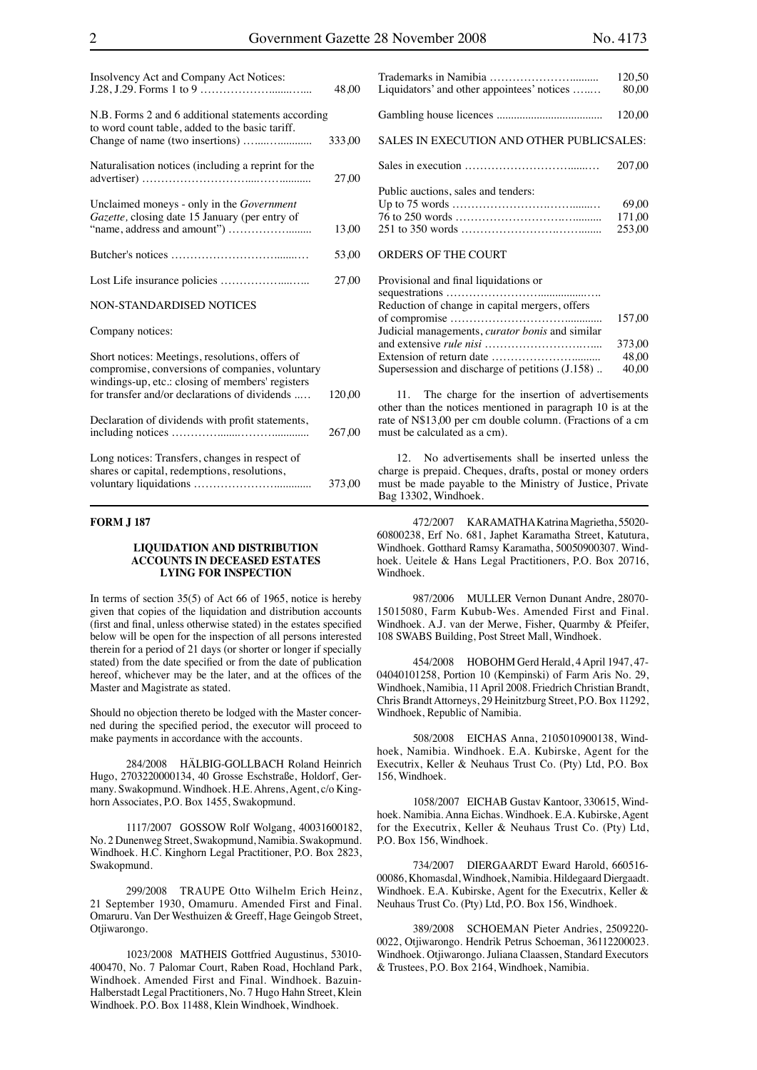| Insolvency Act and Company Act Notices:                                                                                                                                                                 | 48,00  |
|---------------------------------------------------------------------------------------------------------------------------------------------------------------------------------------------------------|--------|
| N.B. Forms 2 and 6 additional statements according<br>to word count table, added to the basic tariff.                                                                                                   | 333,00 |
| Naturalisation notices (including a reprint for the                                                                                                                                                     | 27,00  |
| Unclaimed moneys - only in the <i>Government</i><br>Gazette, closing date 15 January (per entry of                                                                                                      | 13,00  |
|                                                                                                                                                                                                         | 53,00  |
|                                                                                                                                                                                                         | 27,00  |
| NON-STANDARDISED NOTICES                                                                                                                                                                                |        |
| Company notices:                                                                                                                                                                                        |        |
| Short notices: Meetings, resolutions, offers of<br>compromise, conversions of companies, voluntary<br>windings-up, etc.: closing of members' registers<br>for transfer and/or declarations of dividends | 120,00 |
| Declaration of dividends with profit statements,                                                                                                                                                        | 267,00 |
| Long notices: Transfers, changes in respect of<br>shares or capital, redemptions, resolutions,                                                                                                          | 373,00 |

#### **FORM J 187**

#### **LIQUIDATION AND DISTRIBUTION ACCOUNTS IN DECEASED ESTATES LYING FOR INSPECTION**

In terms of section  $35(5)$  of Act 66 of 1965, notice is hereby given that copies of the liquidation and distribution accounts (first and final, unless otherwise stated) in the estates specified below will be open for the inspection of all persons interested therein for a period of 21 days (or shorter or longer if specially stated) from the date specified or from the date of publication hereof, whichever may be the later, and at the offices of the Master and Magistrate as stated.

Should no objection thereto be lodged with the Master concerned during the specified period, the executor will proceed to make payments in accordance with the accounts.

284/2008 HÄLBIG-GOLLBACH Roland Heinrich Hugo, 2703220000134, 40 Grosse Eschstraße, Holdorf, Germany. Swakopmund. Windhoek. H.E. Ahrens, Agent, c/o Kinghorn Associates, P.O. Box 1455, Swakopmund.

1117/2007 GOSSOW Rolf Wolgang, 40031600182, No. 2 Dunenweg Street, Swakopmund, Namibia. Swakopmund. Windhoek. H.C. Kinghorn Legal Practitioner, P.O. Box 2823, Swakopmund.

299/2008 TRAUPE Otto Wilhelm Erich Heinz, 21 September 1930, Omamuru. Amended First and Final. Omaruru. Van Der Westhuizen & Greeff, Hage Geingob Street, Otiiwarongo.

1023/2008 MATHEIS Gottfried Augustinus, 53010- 400470, No. 7 Palomar Court, Raben Road, Hochland Park, Windhoek. Amended First and Final. Windhoek. Bazuin-Halberstadt Legal Practitioners, No. 7 Hugo Hahn Street, Klein Windhoek. P.O. Box 11488, Klein Windhoek, Windhoek.

|                                            | 120,50 |
|--------------------------------------------|--------|
| Liquidators' and other appointees' notices | 80.00  |
|                                            | 120.00 |
| SALES IN EXECUTION AND OTHER PUBLICSALES:  |        |
|                                            | 207.00 |
| Public auctions, sales and tenders:        |        |
|                                            | 69.00  |
|                                            | 171.00 |
|                                            | 253.00 |
| <b>ORDERS OF THE COURT</b>                 |        |
| Provisional and final liquidations or      |        |

| 110, 10101001 0110 111101 110 01001010110 01           |        |
|--------------------------------------------------------|--------|
|                                                        |        |
| Reduction of change in capital mergers, offers         |        |
|                                                        | 157.00 |
| Judicial managements, <i>curator bonis</i> and similar |        |
|                                                        | 373.00 |
|                                                        | 48.00  |
| Supersession and discharge of petitions (J.158)        | 40.00  |
|                                                        |        |

11. The charge for the insertion of advertisements other than the notices mentioned in paragraph 10 is at the rate of N\$13,00 per cm double column. (Fractions of a cm must be calculated as a cm).

12. No advertisements shall be inserted unless the charge is prepaid. Cheques, drafts, postal or money orders must be made payable to the Ministry of Justice, Private Bag 13302, Windhoek.

472/2007 KARAMATHA Katrina Magrietha, 55020- 60800238, Erf No. 681, Japhet Karamatha Street, Katutura, Windhoek. Gotthard Ramsy Karamatha, 50050900307. Windhoek. Ueitele & Hans Legal Practitioners, P.O. Box 20716, Windhoek.

987/2006 MULLER Vernon Dunant Andre, 28070- 15015080, Farm Kubub-Wes. Amended First and Final. Windhoek. A.J. van der Merwe, Fisher, Quarmby & Pfeifer, 108 SWABS Building, Post Street Mall, Windhoek.

454/2008 HOBOHM Gerd Herald, 4 April 1947, 47- 04040101258, Portion 10 (Kempinski) of Farm Aris No. 29, Windhoek, Namibia, 11 April 2008. Friedrich Christian Brandt, Chris Brandt Attorneys, 29 Heinitzburg Street, P.O. Box 11292, Windhoek, Republic of Namibia.

508/2008 EICHAS Anna, 2105010900138, Windhoek, Namibia. Windhoek. E.A. Kubirske, Agent for the Executrix, Keller & Neuhaus Trust Co. (Pty) Ltd, P.O. Box 156, Windhoek.

1058/2007 EICHAB Gustav Kantoor, 330615, Windhoek. Namibia. Anna Eichas. Windhoek. E.A. Kubirske, Agent for the Executrix, Keller & Neuhaus Trust Co. (Pty) Ltd, P.O. Box 156, Windhoek.

734/2007 DIERGAARDT Eward Harold, 660516- 00086, Khomasdal, Windhoek, Namibia. Hildegaard Diergaadt. Windhoek. E.A. Kubirske, Agent for the Executrix, Keller & Neuhaus Trust Co. (Pty) Ltd, P.O. Box 156, Windhoek.

389/2008 SCHOEMAN Pieter Andries, 2509220- 0022, Otjiwarongo. Hendrik Petrus Schoeman, 36112200023. Windhoek. Otjiwarongo. Juliana Claassen, Standard Executors & Trustees, P.O. Box 2164, Windhoek, Namibia.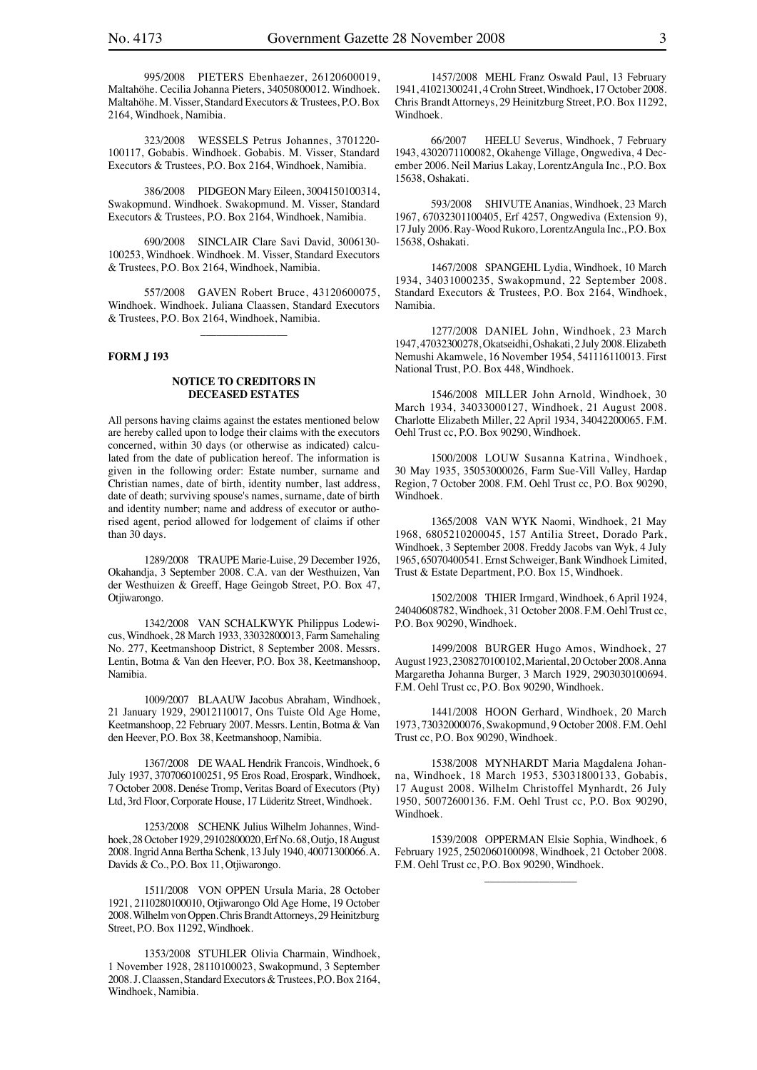995/2008 PIETERS Ebenhaezer, 26120600019, Maltahöhe. Cecilia Johanna Pieters, 34050800012. Windhoek. Maltahöhe. M. Visser, Standard Executors & Trustees, P.O. Box 2164, Windhoek, Namibia.

323/2008 WESSELS Petrus Johannes, 3701220- 100117, Gobabis. Windhoek. Gobabis. M. Visser, Standard Executors & Trustees, P.O. Box 2164, Windhoek, Namibia.

386/2008 PIDGEON Mary Eileen, 3004150100314, Swakopmund. Windhoek. Swakopmund. M. Visser, Standard Executors & Trustees, P.O. Box 2164, Windhoek, Namibia.

690/2008 SINCLAIR Clare Savi David, 3006130- 100253, Windhoek. Windhoek. M. Visser, Standard Executors & Trustees, P.O. Box 2164, Windhoek, Namibia.

557/2008 GAVEN Robert Bruce, 43120600075, Windhoek. Windhoek. Juliana Claassen, Standard Executors & Trustees, P.O. Box 2164, Windhoek, Namibia.

\_\_\_\_\_\_\_\_\_\_\_\_\_\_\_\_

#### **FORM J 193**

#### **NOTICE TO CREDITORS IN DECEASED ESTATES**

All persons having claims against the estates mentioned below are hereby called upon to lodge their claims with the executors concerned, within 30 days (or otherwise as indicated) calculated from the date of publication hereof. The information is given in the following order: Estate number, surname and Christian names, date of birth, identity number, last address, date of death; surviving spouse's names, surname, date of birth and identity number; name and address of executor or authorised agent, period allowed for lodgement of claims if other than 30 days.

1289/2008 TRAUPE Marie-Luise, 29 December 1926, Okahandja, 3 September 2008. C.A. van der Westhuizen, Van der Westhuizen & Greeff, Hage Geingob Street, P.O. Box 47, Otjiwarongo.

1342/2008 VAN SCHALKWYK Philippus Lodewicus, Windhoek, 28 March 1933, 33032800013, Farm Samehaling No. 277, Keetmanshoop District, 8 September 2008. Messrs. Lentin, Botma & Van den Heever, P.O. Box 38, Keetmanshoop, Namibia.

1009/2007 BLAAUW Jacobus Abraham, Windhoek, 21 January 1929, 29012110017, Ons Tuiste Old Age Home, Keetmanshoop, 22 February 2007. Messrs. Lentin, Botma & Van den Heever, P.O. Box 38, Keetmanshoop, Namibia.

1367/2008 DE WAAL Hendrik Francois, Windhoek, 6 July 1937, 3707060100251, 95 Eros Road, Erospark, Windhoek, 7 October 2008. Denése Tromp, Veritas Board of Executors (Pty) Ltd, 3rd Floor, Corporate House, 17 Lüderitz Street, Windhoek.

1253/2008 SCHENK Julius Wilhelm Johannes, Windhoek, 28 October 1929, 29102800020, Erf No. 68, Outjo, 18 August 2008. Ingrid Anna Bertha Schenk, 13 July 1940, 40071300066. A. Davids & Co., P.O. Box 11, Otjiwarongo.

1511/2008 VON OPPEN Ursula Maria, 28 October 1921, 2110280100010, Otjiwarongo Old Age Home, 19 October 2008. Wilhelm von Oppen. Chris Brandt Attorneys, 29 Heinitzburg Street, P.O. Box 11292, Windhoek.

1353/2008 STUHLER Olivia Charmain, Windhoek, 1 November 1928, 28110100023, Swakopmund, 3 September 2008. J. Claassen, Standard Executors & Trustees, P.O. Box 2164, Windhoek, Namibia.

1457/2008 MEHL Franz Oswald Paul, 13 February 1941, 41021300241, 4 Crohn Street, Windhoek, 17 October 2008. Chris Brandt Attorneys, 29 Heinitzburg Street, P.O. Box 11292, Windhoek.

66/2007 HEELU Severus, Windhoek, 7 February 1943, 4302071100082, Okahenge Village, Ongwediva, 4 December 2006. Neil Marius Lakay, LorentzAngula Inc., P.O. Box 15638, Oshakati.

593/2008 SHIVUTE Ananias, Windhoek, 23 March 1967, 67032301100405, Erf 4257, Ongwediva (Extension 9), 17 July 2006. Ray-Wood Rukoro, LorentzAngula Inc., P.O. Box 15638, Oshakati.

1467/2008 SPANGEHL Lydia, Windhoek, 10 March 1934, 34031000235, Swakopmund, 22 September 2008. Standard Executors & Trustees, P.O. Box 2164, Windhoek, Namibia.

1277/2008 DANIEL John, Windhoek, 23 March 1947, 47032300278, Okatseidhi, Oshakati, 2 July 2008. Elizabeth Nemushi Akamwele, 16 November 1954, 541116110013. First National Trust, P.O. Box 448, Windhoek.

1546/2008 MILLER John Arnold, Windhoek, 30 March 1934, 34033000127, Windhoek, 21 August 2008. Charlotte Elizabeth Miller, 22 April 1934, 34042200065. F.M. Oehl Trust cc, P.O. Box 90290, Windhoek.

1500/2008 LOUW Susanna Katrina, Windhoek, 30 May 1935, 35053000026, Farm Sue-Vill Valley, Hardap Region, 7 October 2008. F.M. Oehl Trust cc, P.O. Box 90290, Windhoek.

1365/2008 VAN WYK Naomi, Windhoek, 21 May 1968, 6805210200045, 157 Antilia Street, Dorado Park, Windhoek, 3 September 2008. Freddy Jacobs van Wyk, 4 July 1965, 65070400541. Ernst Schweiger, Bank Windhoek Limited, Trust & Estate Department, P.O. Box 15, Windhoek.

1502/2008 THIER Irmgard, Windhoek, 6 April 1924, 24040608782, Windhoek, 31 October 2008. F.M. Oehl Trust cc, P.O. Box 90290, Windhoek.

1499/2008 BURGER Hugo Amos, Windhoek, 27 August 1923, 2308270100102, Mariental, 20 October 2008. Anna Margaretha Johanna Burger, 3 March 1929, 2903030100694. F.M. Oehl Trust cc, P.O. Box 90290, Windhoek.

1441/2008 HOON Gerhard, Windhoek, 20 March 1973, 73032000076, Swakopmund, 9 October 2008. F.M. Oehl Trust cc, P.O. Box 90290, Windhoek.

1538/2008 MYNHARDT Maria Magdalena Johanna, Windhoek, 18 March 1953, 53031800133, Gobabis, 17 August 2008. Wilhelm Christoffel Mynhardt, 26 July 1950, 50072600136. F.M. Oehl Trust cc, P.O. Box 90290, Windhoek.

1539/2008 OPPERMAN Elsie Sophia, Windhoek, 6 February 1925, 2502060100098, Windhoek, 21 October 2008. F.M. Oehl Trust cc, P.O. Box 90290, Windhoek.

 $\overline{\phantom{a}}$  , where the contract of the contract of the contract of the contract of the contract of the contract of the contract of the contract of the contract of the contract of the contract of the contract of the contr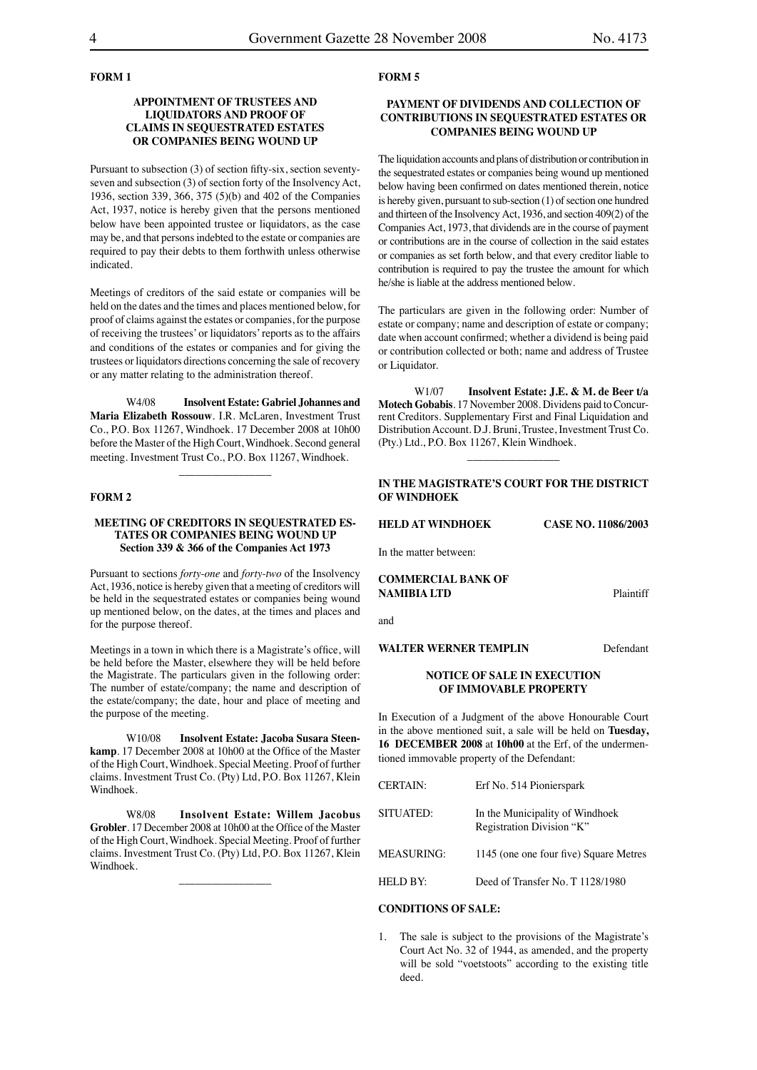# **FORM 1**

# **APPOINTMENT OF TRUSTEES AND LIQUIDATORS AND PROOF OF CLAIMS IN SEQUESTRATED ESTATES OR COMPANIES BEING WOUND UP**

Pursuant to subsection (3) of section fifty-six, section seventyseven and subsection (3) of section forty of the Insolvency Act, 1936, section 339, 366, 375 (5)(b) and 402 of the Companies Act, 1937, notice is hereby given that the persons mentioned below have been appointed trustee or liquidators, as the case may be, and that persons indebted to the estate or companies are required to pay their debts to them forthwith unless otherwise indicated.

Meetings of creditors of the said estate or companies will be held on the dates and the times and places mentioned below, for proof of claims against the estates or companies, for the purpose of receiving the trustees' or liquidators' reports as to the affairs and conditions of the estates or companies and for giving the trustees or liquidators directions concerning the sale of recovery or any matter relating to the administration thereof.

W4/08 **Insolvent Estate: Gabriel Johannes and Maria Elizabeth Rossouw**. I.R. McLaren, Investment Trust Co., P.O. Box 11267, Windhoek. 17 December 2008 at 10h00 before the Master of the High Court, Windhoek. Second general meeting. Investment Trust Co., P.O. Box 11267, Windhoek.

 $\overline{\phantom{a}}$  , where  $\overline{\phantom{a}}$ 

# **FORM 2**

#### **MEETING OF CREDITORS IN SEQUESTRATED ES-TATES OR COMPANIES BEING WOUND UP Section 339 & 366 of the Companies Act 1973**

Pursuant to sections *forty-one* and *forty-two* of the Insolvency Act, 1936, notice is hereby given that a meeting of creditors will be held in the sequestrated estates or companies being wound up mentioned below, on the dates, at the times and places and for the purpose thereof.

Meetings in a town in which there is a Magistrate's office, will be held before the Master, elsewhere they will be held before the Magistrate. The particulars given in the following order: The number of estate/company; the name and description of the estate/company; the date, hour and place of meeting and the purpose of the meeting.

W10/08 **Insolvent Estate: Jacoba Susara Steenkamp**. 17 December 2008 at 10h00 at the Office of the Master of the High Court, Windhoek. Special Meeting. Proof of further claims. Investment Trust Co. (Pty) Ltd, P.O. Box 11267, Klein Windhoek.

W8/08 **Insolvent Estate: Willem Jacobus Grobler**. 17 December 2008 at 10h00 at the Office of the Master of the High Court, Windhoek. Special Meeting. Proof of further claims. Investment Trust Co. (Pty) Ltd, P.O. Box 11267, Klein Windhoek.

 $\overline{\phantom{a}}$  , where  $\overline{\phantom{a}}$ 

#### **FORM 5**

# **PAYMENT OF DIVIDENDS AND COLLECTION OF CONTRIBUTIONS IN SEQUESTRATED ESTATES OR COMPANIES BEING WOUND UP**

The liquidation accounts and plans of distribution or contribution in the sequestrated estates or companies being wound up mentioned below having been confirmed on dates mentioned therein, notice is hereby given, pursuant to sub-section (1) of section one hundred and thirteen of the Insolvency Act, 1936, and section 409(2) of the Companies Act, 1973, that dividends are in the course of payment or contributions are in the course of collection in the said estates or companies as set forth below, and that every creditor liable to contribution is required to pay the trustee the amount for which he/she is liable at the address mentioned below.

The particulars are given in the following order: Number of estate or company; name and description of estate or company; date when account confirmed; whether a dividend is being paid or contribution collected or both; name and address of Trustee or Liquidator.

W1/07 **Insolvent Estate: J.E. & M. de Beer t/a Motech Gobabis**. 17 November 2008. Dividens paid to Concurrent Creditors. Supplementary First and Final Liquidation and Distribution Account. D.J. Bruni, Trustee, Investment Trust Co. (Pty.) Ltd., P.O. Box 11267, Klein Windhoek.

# **IN THE MAGISTRATE'S COURT FOR THE DISTRICT OF WINDHOEK**

 $\overline{\phantom{a}}$  , where  $\overline{\phantom{a}}$ 

**HELD AT WINDHOEK CASE NO. 11086/2003**

In the matter between:

**COMMERCIAL BANK OF NAMIBIA LTD** Plaintiff

and

**WALTER WERNER TEMPLIN** Defendant

### **NOTICE OF SALE IN EXECUTION OF IMMOVABLE PROPERTY**

In Execution of a Judgment of the above Honourable Court in the above mentioned suit, a sale will be held on **Tuesday, 16 DECEMBER 2008** at **10h00** at the Erf, of the undermentioned immovable property of the Defendant:

| <b>CERTAIN:</b>   | Erf No. 514 Pionierspark                                     |
|-------------------|--------------------------------------------------------------|
| SITUATED:         | In the Municipality of Windhoek<br>Registration Division "K" |
| <b>MEASURING:</b> | 1145 (one one four five) Square Metres                       |
| HELD BY:          | Deed of Transfer No. T 1128/1980                             |

#### **CONDITIONS OF SALE:**

1. The sale is subject to the provisions of the Magistrate's Court Act No. 32 of 1944, as amended, and the property will be sold "voetstoots" according to the existing title deed.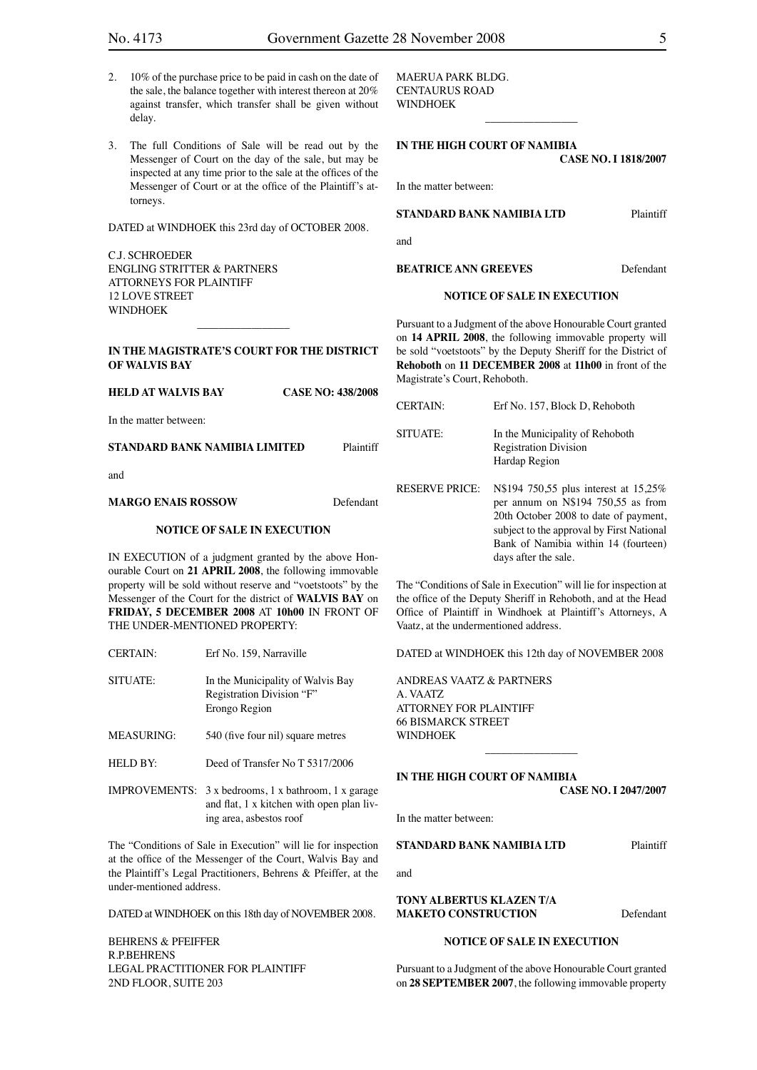- 2. 10% of the purchase price to be paid in cash on the date of the sale, the balance together with interest thereon at 20% against transfer, which transfer shall be given without delay.
- 3. The full Conditions of Sale will be read out by the Messenger of Court on the day of the sale, but may be inspected at any time prior to the sale at the offices of the Messenger of Court or at the office of the Plaintiff's attorneys.

DATED at WINDHOEK this 23rd day of OCTOBER 2008.

C.J. SCHROEDER ENGLING STRITTER & PARTNERS ATTORNEYS FOR PLAINTIFF 12 LOVE STREET WINDHOEK

**IN THE MAGISTRATE'S COURT FOR THE DISTRICT OF WALVIS BAY** 

 $\overline{\phantom{a}}$  , which is a set of the set of the set of the set of the set of the set of the set of the set of the set of the set of the set of the set of the set of the set of the set of the set of the set of the set of th

| <b>HELD AT WALVIS BAY</b>     | <b>CASE NO: 438/2008</b> |           |
|-------------------------------|--------------------------|-----------|
| In the matter between:        |                          |           |
| STANDARD BANK NAMIBIA LIMITED |                          | Plaintiff |
| and                           |                          |           |

**MARGO ENAIS ROSSOW** Defendant

# **NOTICE OF SALE IN EXECUTION**

IN EXECUTION of a judgment granted by the above Honourable Court on **21 APRIL 2008**, the following immovable property will be sold without reserve and "voetstoots" by the Messenger of the Court for the district of **WALVIS BAY** on **FRIDAY, 5 DECEMBER 2008** AT **10h00** IN FRONT OF THE UNDER-MENTIONED PROPERTY:

| <b>CERTAIN:</b> | Erf No. 159. Narraville           |
|-----------------|-----------------------------------|
| SITUATE:        | In the Municipality of Walvis Bay |

Registration Division "F" Erongo Region

- MEASURING: 540 (five four nil) square metres
- HELD BY: Deed of Transfer No T 5317/2006

IMPROVEMENTS: 3 x bedrooms, 1 x bathroom, 1 x garage and flat, 1 x kitchen with open plan living area, asbestos roof

The "Conditions of Sale in Execution" will lie for inspection at the office of the Messenger of the Court, Walvis Bay and the Plaintiff's Legal Practitioners, Behrens & Pfeiffer, at the under-mentioned address.

DATED at WINDHOEK on this 18th day of NOVEMBER 2008.

BEHRENS & PFEIFFER R.P.BEHRENS LEGAL PRACTITIONER FOR PLAINTIFF 2ND FLOOR, SUITE 203

MAERUA PARK BLDG. CENTAURUS ROAD WINDHOEK

# **IN THE HIGH COURT OF NAMIBIA CASE NO. I 1818/2007**

 $\overline{\phantom{a}}$  , which is a set of the set of the set of the set of the set of the set of the set of the set of the set of the set of the set of the set of the set of the set of the set of the set of the set of the set of th

In the matter between:

# **STANDARD BANK NAMIBIA LTD** Plaintiff

and

**BEATRICE ANN GREEVES** Defendant

#### **NOTICE OF SALE IN EXECUTION**

Pursuant to a Judgment of the above Honourable Court granted on **14 APRIL 2008**, the following immovable property will be sold "voetstoots" by the Deputy Sheriff for the District of **Rehoboth** on **11 DECEMBER 2008** at **11h00** in front of the Magistrate's Court, Rehoboth.

| <b>CERTAIN:</b>       | Erf No. 157, Block D, Rehoboth                                                                                                                                                                                                    |
|-----------------------|-----------------------------------------------------------------------------------------------------------------------------------------------------------------------------------------------------------------------------------|
| SITUATE:              | In the Municipality of Rehoboth<br><b>Registration Division</b><br>Hardap Region                                                                                                                                                  |
| <b>RESERVE PRICE:</b> | N\$194 750,55 plus interest at 15,25%<br>per annum on N\$194 750,55 as from<br>20th October 2008 to date of payment,<br>subject to the approval by First National<br>Bank of Namibia within 14 (fourteen)<br>days after the sale. |

The "Conditions of Sale in Execution" will lie for inspection at the office of the Deputy Sheriff in Rehoboth, and at the Head Office of Plaintiff in Windhoek at Plaintiff's Attorneys, A Vaatz, at the undermentioned address.

DATED at WINDHOEK this 12th day of NOVEMBER 2008

\_\_\_\_\_\_\_\_\_\_\_\_\_\_\_\_\_

ANDREAS VAATZ & PARTNERS A. VAATZ ATTORNEY FOR PLAINTIFF 66 BISMARCK STREET WINDHOEK

#### **IN THE HIGH COURT OF NAMIBIA**

**CASE NO. I 2047/2007**

In the matter between:

**STANDARD BANK NAMIBIA LTD** Plaintiff

and

**TONY ALBERTUS KLAZEN T/A MAKETO CONSTRUCTION** Defendant

#### **NOTICE OF SALE IN EXECUTION**

Pursuant to a Judgment of the above Honourable Court granted on **28 SEPTEMBER 2007**, the following immovable property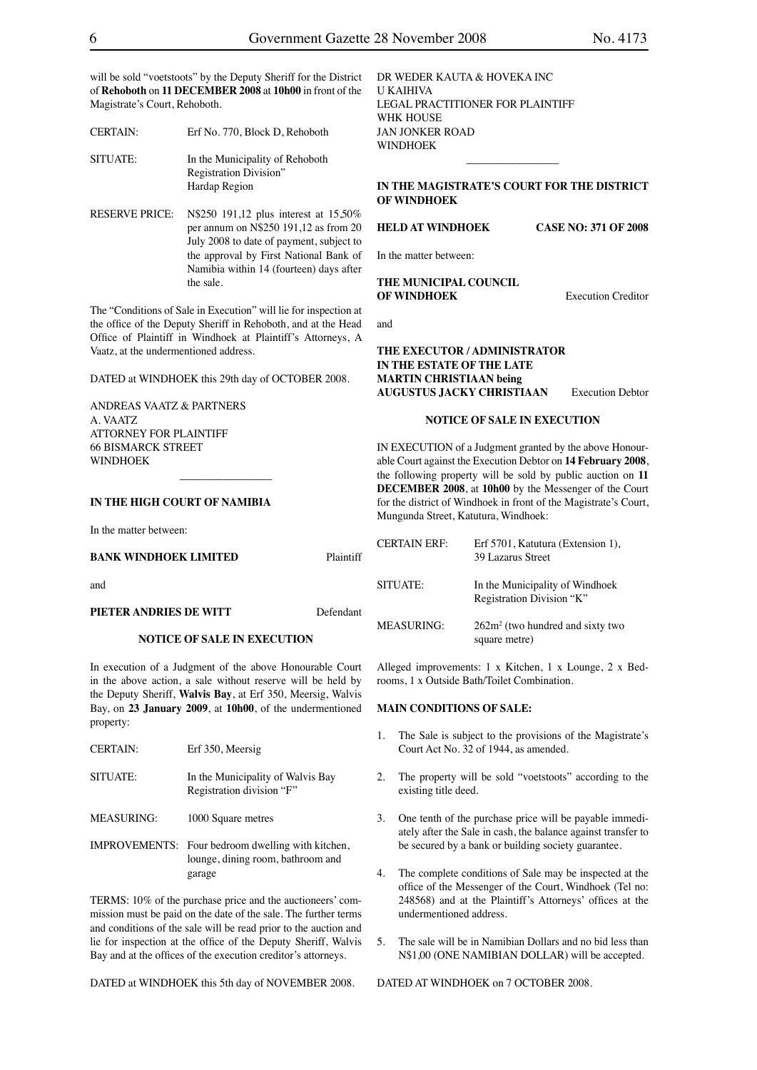will be sold "voetstoots" by the Deputy Sheriff for the District of **Rehoboth** on **11 DECEMBER 2008** at **10h00** in front of the Magistrate's Court, Rehoboth.

CERTAIN: Erf No. 770, Block D, Rehoboth

SITUATE: In the Municipality of Rehoboth Registration Division" Hardap Region

RESERVE PRICE: N\$250 191,12 plus interest at 15,50% per annum on N\$250 191,12 as from 20 July 2008 to date of payment, subject to the approval by First National Bank of Namibia within 14 (fourteen) days after the sale.

The "Conditions of Sale in Execution" will lie for inspection at the office of the Deputy Sheriff in Rehoboth, and at the Head Office of Plaintiff in Windhoek at Plaintiff's Attorneys, A Vaatz, at the undermentioned address.

DATED at WINDHOEK this 29th day of OCTOBER 2008.

 $\overline{\phantom{a}}$  , which is a set of the set of the set of the set of the set of the set of the set of the set of the set of the set of the set of the set of the set of the set of the set of the set of the set of the set of th

ANDREAS VAATZ & PARTNERS A. VAATZ ATTORNEY FOR PLAINTIFF 66 BISMARCK STREET WINDHOEK

#### **IN THE HIGH COURT OF NAMIBIA**

In the matter between:

# **BANK WINDHOEK LIMITED** Plaintiff

and

#### **PIETER ANDRIES DE WITT** Defendant

#### **NOTICE OF SALE IN EXECUTION**

In execution of a Judgment of the above Honourable Court in the above action, a sale without reserve will be held by the Deputy Sheriff, **Walvis Bay**, at Erf 350, Meersig, Walvis Bay, on **23 January 2009**, at **10h00**, of the undermentioned property:

| <b>CERTAIN:</b>   | Erf 350, Meersig                                                                                        |
|-------------------|---------------------------------------------------------------------------------------------------------|
| SITUATE:          | In the Municipality of Walvis Bay<br>Registration division "F"                                          |
| <b>MEASURING:</b> | 1000 Square metres                                                                                      |
|                   | <b>IMPROVEMENTS:</b> Four bedroom dwelling with kitchen,<br>lounge, dining room, bathroom and<br>garage |

TERMS: 10% of the purchase price and the auctioneers' commission must be paid on the date of the sale. The further terms and conditions of the sale will be read prior to the auction and lie for inspection at the office of the Deputy Sheriff, Walvis Bay and at the offices of the execution creditor's attorneys.

DATED at WINDHOEK this 5th day of NOVEMBER 2008.

DR WEDER KAUTA & HOVEKA INC U KAIHIVA LEGAL PRACTITIONER FOR PLAINTIFF WHK HOUSE JAN JONKER ROAD WINDHOEK

# **IN THE MAGISTRATE'S COURT FOR THE DISTRICT OF WINDHOEK**

 $\overline{\phantom{a}}$  , where  $\overline{\phantom{a}}$ 

**HELD AT WINDHOEK CASE NO: 371 OF 2008**

# In the matter between:

## **THE MUNICIPAL COUNCIL OF WINDHOEK** Execution Creditor

and

**THE EXECUTOR / ADMINISTRATOR IN THE ESTATE OF THE LATE MARTIN CHRISTIAAN being AUGUSTUS JACKY CHRISTIAAN** Execution Debtor

#### **NOTICE OF SALE IN EXECUTION**

IN EXECUTION of a Judgment granted by the above Honourable Court against the Execution Debtor on **14 February 2008**, the following property will be sold by public auction on **11 DECEMBER 2008**, at **10h00** by the Messenger of the Court for the district of Windhoek in front of the Magistrate's Court, Mungunda Street, Katutura, Windhoek:

| <b>CERTAIN ERF:</b> | Erf 5701, Katutura (Extension 1),<br>39 Lazarus Street       |
|---------------------|--------------------------------------------------------------|
| SITUATE:            | In the Municipality of Windhoek<br>Registration Division "K" |
| <b>MEASURING:</b>   | $262m2$ (two hundred and sixty two<br>square metre)          |

Alleged improvements: 1 x Kitchen, 1 x Lounge, 2 x Bedrooms, 1 x Outside Bath/Toilet Combination.

# **MAIN CONDITIONS OF SALE:**

- 1. The Sale is subject to the provisions of the Magistrate's Court Act No. 32 of 1944, as amended.
- 2. The property will be sold "voetstoots" according to the existing title deed.
- 3. One tenth of the purchase price will be payable immediately after the Sale in cash, the balance against transfer to be secured by a bank or building society guarantee.
- 4. The complete conditions of Sale may be inspected at the office of the Messenger of the Court, Windhoek (Tel no: 248568) and at the Plaintiff's Attorneys' offices at the undermentioned address.
- 5. The sale will be in Namibian Dollars and no bid less than N\$1,00 (ONE NAMIBIAN DOLLAR) will be accepted.

DATED AT WINDHOEK on 7 OCTOBER 2008.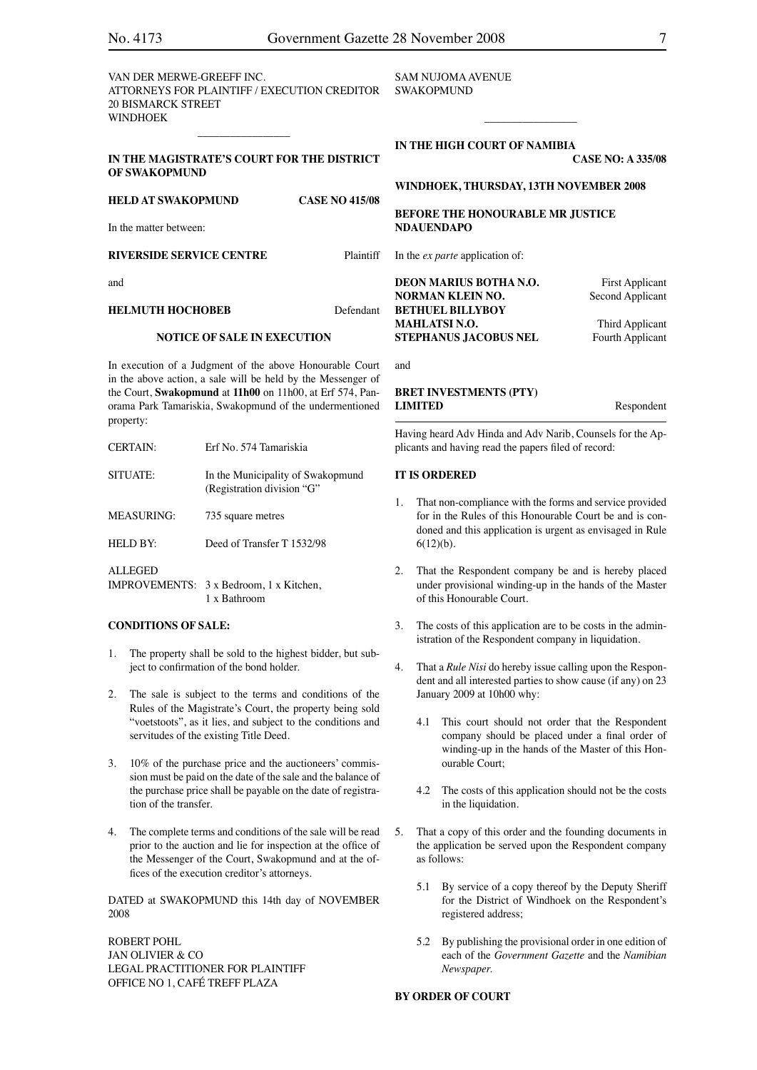VAN DER MERWE-GREEFF INC. ATTORNEYS FOR PLAINTIFF / EXECUTION CREDITOR 20 BISMARCK STREET **WINDHOEK** 

SAM NUJOMA AVENUE **SWAKOPMUND** 

**IN THE HIGH COURT OF NAMIBIA**

**CASE NO: A 335/08**

# **WINDHOEK, THURSDAY, 13TH NOVEMBER 2008**

\_\_\_\_\_\_\_\_\_\_\_\_\_\_\_\_\_

**BEFORE THE HONOURABLE MR JUSTICE NDAUENDAPO**

In the *ex parte* application of:

**DEON MARIUS BOTHA N.O.** First Applicant **NORMAN KLEIN NO.** Second Applicant **BETHUEL BILLYBOY MAHLATSI N.O.** Third Applicant **STEPHANUS JACOBUS NEL** Fourth Applicant

and

# **BRET INVESTMENTS (PTY) LIMITED** Respondent

Having heard Adv Hinda and Adv Narib, Counsels for the Applicants and having read the papers filed of record:

# **IT IS ORDERED**

- 1. That non-compliance with the forms and service provided for in the Rules of this Honourable Court be and is condoned and this application is urgent as envisaged in Rule 6(12)(b).
- 2. That the Respondent company be and is hereby placed under provisional winding-up in the hands of the Master of this Honourable Court.
- 3. The costs of this application are to be costs in the administration of the Respondent company in liquidation.
- That a *Rule Nisi* do hereby issue calling upon the Respondent and all interested parties to show cause (if any) on 23 January 2009 at 10h00 why:
	- 4.1 This court should not order that the Respondent company should be placed under a final order of winding-up in the hands of the Master of this Honourable Court;
	- 4.2 The costs of this application should not be the costs in the liquidation.
- 5. That a copy of this order and the founding documents in the application be served upon the Respondent company as follows:
	- 5.1 By service of a copy thereof by the Deputy Sheriff for the District of Windhoek on the Respondent's registered address;
	- 5.2 By publishing the provisional order in one edition of each of the *Government Gazette* and the *Namibian Newspaper.*

# **BY ORDER OF COURT**

# **IN THE MAGISTRATE'S COURT FOR THE DISTRICT OF SWAKOPMUND**

\_\_\_\_\_\_\_\_\_\_\_\_\_\_\_\_\_

**HELD AT SWAKOPMUND CASE NO 415/08** In the matter between: **RIVERSIDE SERVICE CENTRE** Plaintiff and **HELMUTH HOCHOBEB** Defendant

# **NOTICE OF SALE IN EXECUTION**

In execution of a Judgment of the above Honourable Court in the above action, a sale will be held by the Messenger of the Court, **Swakopmund** at **11h00** on 11h00, at Erf 574, Panorama Park Tamariskia, Swakopmund of the undermentioned property:

| <b>CERTAIN:</b>   | Erf No. 574 Tamariskia                                          |
|-------------------|-----------------------------------------------------------------|
| SITUATE:          | In the Municipality of Swakopmund<br>(Registration division "G" |
| <b>MEASURING:</b> | 735 square metres                                               |
| HELD BY:          | Deed of Transfer T 1532/98                                      |
| <b>ALLEGED</b>    | IMPROVEMENTS: 3 x Bedroom, 1 x Kitchen,<br>1 x Bathroom         |

#### **CONDITIONS OF SALE:**

- 1. The property shall be sold to the highest bidder, but subject to confirmation of the bond holder.
- 2. The sale is subject to the terms and conditions of the Rules of the Magistrate's Court, the property being sold "voetstoots", as it lies, and subject to the conditions and servitudes of the existing Title Deed.
- 3. 10% of the purchase price and the auctioneers' commission must be paid on the date of the sale and the balance of the purchase price shall be payable on the date of registration of the transfer.
- 4. The complete terms and conditions of the sale will be read prior to the auction and lie for inspection at the office of the Messenger of the Court, Swakopmund and at the offices of the execution creditor's attorneys.

DATED at SWAKOPMUND this 14th day of NOVEMBER 2008

ROBERT POHL JAN OLIVIER & CO LEGAL PRACTITIONER FOR PLAINTIFF OFFICE NO 1, CAFÉ TREFF PLAZA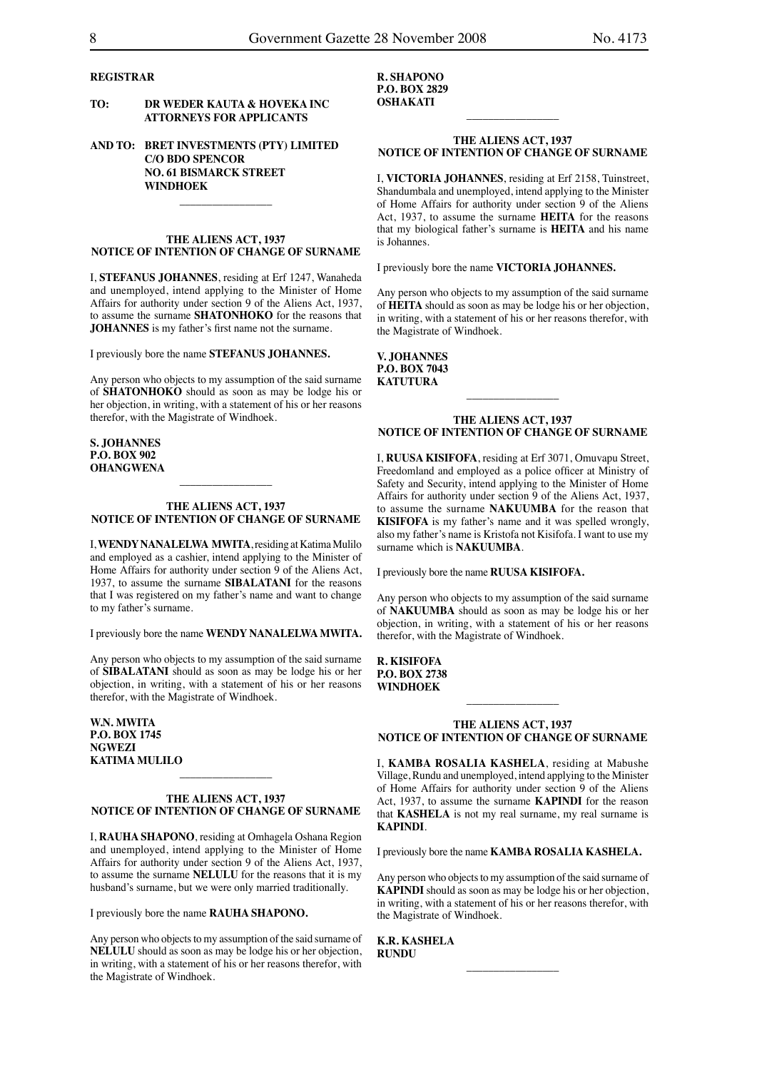# **REGISTRAR**

# **TO: DR WEDER KAUTA & HOVEKA INC ATTORNEYS FOR APPLICANTS**

# **AND TO: BRET INVESTMENTS (PTY) LIMITED C/O BDO SPENCOR NO. 61 BISMARCK STREET WINDHOEK**

#### **THE ALIENS ACT, 1937 NOTICE OF INTENTION OF CHANGE OF SURNAME**

 $\overline{\phantom{a}}$  , which is a set of the set of the set of the set of the set of the set of the set of the set of the set of the set of the set of the set of the set of the set of the set of the set of the set of the set of th

I, **STEFANUS JOHANNES**, residing at Erf 1247, Wanaheda and unemployed, intend applying to the Minister of Home Affairs for authority under section 9 of the Aliens Act, 1937, to assume the surname **SHATONHOKO** for the reasons that **JOHANNES** is my father's first name not the surname.

I previously bore the name **STEFANUS JOHANNES.**

Any person who objects to my assumption of the said surname of **SHATONHOKO** should as soon as may be lodge his or her objection, in writing, with a statement of his or her reasons therefor, with the Magistrate of Windhoek.

**S. JOHANNES P.O. BOX 902 OHANGWENA**

# **THE ALIENS ACT, 1937 NOTICE OF INTENTION OF CHANGE OF SURNAME**

 $\overline{\phantom{a}}$  , which is a set of the set of the set of the set of the set of the set of the set of the set of the set of the set of the set of the set of the set of the set of the set of the set of the set of the set of th

I, **WENDY NANALELWA MWITA**, residing at Katima Mulilo and employed as a cashier, intend applying to the Minister of Home Affairs for authority under section 9 of the Aliens Act, 1937, to assume the surname **SIBALATANI** for the reasons that I was registered on my father's name and want to change to my father's surname.

I previously bore the name **WENDY NANALELWA MWITA.**

Any person who objects to my assumption of the said surname of **SIBALATANI** should as soon as may be lodge his or her objection, in writing, with a statement of his or her reasons therefor, with the Magistrate of Windhoek.

**W.N. MWITA P.O. BOX 1745 NGWEZI KATIMA MULILO**

# **THE ALIENS ACT, 1937 NOTICE OF INTENTION OF CHANGE OF SURNAME**

 $\overline{\phantom{a}}$  , where  $\overline{\phantom{a}}$ 

I, **RAUHA SHAPONO**, residing at Omhagela Oshana Region and unemployed, intend applying to the Minister of Home Affairs for authority under section 9 of the Aliens Act, 1937, to assume the surname **NELULU** for the reasons that it is my husband's surname, but we were only married traditionally.

I previously bore the name **RAUHA SHAPONO.**

Any person who objects to my assumption of the said surname of **NELULU** should as soon as may be lodge his or her objection, in writing, with a statement of his or her reasons therefor, with the Magistrate of Windhoek.

**R. SHAPONO P.O. BOX 2829 OSHAKATI**

# **THE ALIENS ACT, 1937 NOTICE OF INTENTION OF CHANGE OF SURNAME**

 $\overline{\phantom{a}}$  , where  $\overline{\phantom{a}}$ 

I, **VICTORIA JOHANNES**, residing at Erf 2158, Tuinstreet, Shandumbala and unemployed, intend applying to the Minister of Home Affairs for authority under section 9 of the Aliens Act, 1937, to assume the surname **HEITA** for the reasons that my biological father's surname is **HEITA** and his name is Johannes.

I previously bore the name **VICTORIA JOHANNES.**

Any person who objects to my assumption of the said surname of **HEITA** should as soon as may be lodge his or her objection, in writing, with a statement of his or her reasons therefor, with the Magistrate of Windhoek.

**V. JOHANNES P.O. BOX 7043 KATUTURA**

#### **THE ALIENS ACT, 1937 NOTICE OF INTENTION OF CHANGE OF SURNAME**

 $\overline{\phantom{a}}$  , where  $\overline{\phantom{a}}$ 

I, **RUUSA KISIFOFA**, residing at Erf 3071, Omuvapu Street, Freedomland and employed as a police officer at Ministry of Safety and Security, intend applying to the Minister of Home Affairs for authority under section 9 of the Aliens Act, 1937, to assume the surname **NAKUUMBA** for the reason that **KISIFOFA** is my father's name and it was spelled wrongly, also my father's name is Kristofa not Kisifofa. I want to use my surname which is **NAKUUMBA**.

I previously bore the name **RUUSA KISIFOFA.**

Any person who objects to my assumption of the said surname of **NAKUUMBA** should as soon as may be lodge his or her objection, in writing, with a statement of his or her reasons therefor, with the Magistrate of Windhoek.

**R. KISIFOFA P.O. BOX 2738 WINDHOEK**

#### **THE ALIENS ACT, 1937 NOTICE OF INTENTION OF CHANGE OF SURNAME**

 $\overline{\phantom{a}}$  , where  $\overline{\phantom{a}}$ 

I, **KAMBA ROSALIA KASHELA**, residing at Mabushe Village, Rundu and unemployed, intend applying to the Minister of Home Affairs for authority under section 9 of the Aliens Act, 1937, to assume the surname **KAPINDI** for the reason that **KASHELA** is not my real surname, my real surname is **KAPINDI**.

I previously bore the name **KAMBA ROSALIA KASHELA.**

Any person who objects to my assumption of the said surname of **KAPINDI** should as soon as may be lodge his or her objection, in writing, with a statement of his or her reasons therefor, with the Magistrate of Windhoek.

 $\overline{\phantom{a}}$  , which is a set of the set of the set of the set of the set of the set of the set of the set of the set of the set of the set of the set of the set of the set of the set of the set of the set of the set of th

**K.R. KASHELA RUNDU**